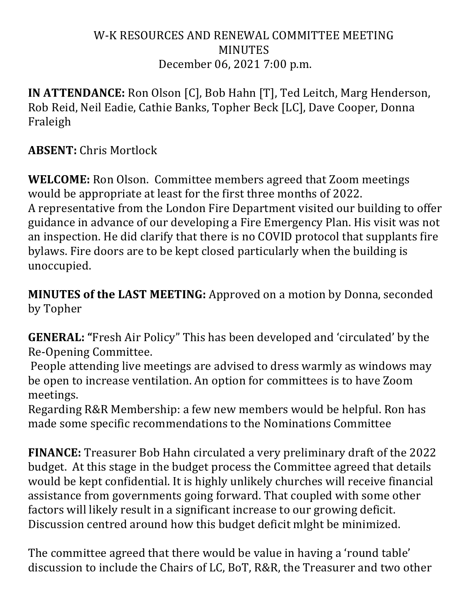### W-K RESOURCES AND RENEWAL COMMITTEE MEETING MINUTES December 06, 2021 7:00 p.m.

**IN ATTENDANCE:** Ron Olson [C], Bob Hahn [T], Ted Leitch, Marg Henderson, Rob Reid, Neil Eadie, Cathie Banks, Topher Beck [LC], Dave Cooper, Donna Fraleigh

**ABSENT:** Chris Mortlock

**WELCOME:** Ron Olson. Committee members agreed that Zoom meetings would be appropriate at least for the first three months of 2022. A representative from the London Fire Department visited our building to offer guidance in advance of our developing a Fire Emergency Plan. His visit was not an inspection. He did clarify that there is no COVID protocol that supplants fire bylaws. Fire doors are to be kept closed particularly when the building is unoccupied.

**MINUTES of the LAST MEETING:** Approved on a motion by Donna, seconded by Topher

**GENERAL:** "Fresh Air Policy" This has been developed and 'circulated' by the Re-Opening Committee.

People attending live meetings are advised to dress warmly as windows may be open to increase ventilation. An option for committees is to have Zoom meetings. 

Regarding R&R Membership: a few new members would be helpful. Ron has made some specific recommendations to the Nominations Committee

**FINANCE:** Treasurer Bob Hahn circulated a very preliminary draft of the 2022 budget. At this stage in the budget process the Committee agreed that details would be kept confidential. It is highly unlikely churches will receive financial assistance from governments going forward. That coupled with some other factors will likely result in a significant increase to our growing deficit. Discussion centred around how this budget deficit mlght be minimized.

The committee agreed that there would be value in having a 'round table' discussion to include the Chairs of LC, BoT, R&R, the Treasurer and two other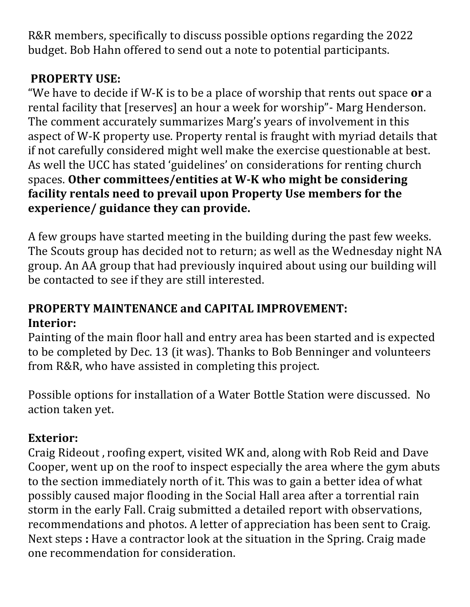R&R members, specifically to discuss possible options regarding the 2022 budget. Bob Hahn offered to send out a note to potential participants.

# **PROPERTY USE:**

"We have to decide if W-K is to be a place of worship that rents out space **or** a rental facility that [reserves] an hour a week for worship" - Marg Henderson. The comment accurately summarizes Marg's years of involvement in this aspect of W-K property use. Property rental is fraught with myriad details that if not carefully considered might well make the exercise questionable at best. As well the UCC has stated 'guidelines' on considerations for renting church spaces. Other committees/entities at W-K who might be considering facility rentals need to prevail upon Property Use members for the **experience/ guidance they can provide.**

A few groups have started meeting in the building during the past few weeks. The Scouts group has decided not to return; as well as the Wednesday night NA group. An AA group that had previously inquired about using our building will be contacted to see if they are still interested.

### **PROPERTY MAINTENANCE and CAPITAL IMPROVEMENT: Interior:**

Painting of the main floor hall and entry area has been started and is expected to be completed by Dec. 13 (it was). Thanks to Bob Benninger and volunteers from R&R, who have assisted in completing this project.

Possible options for installation of a Water Bottle Station were discussed. No action taken yet.

## **Exterior:**

Craig Rideout, roofing expert, visited WK and, along with Rob Reid and Dave Cooper, went up on the roof to inspect especially the area where the gym abuts to the section immediately north of it. This was to gain a better idea of what possibly caused major flooding in the Social Hall area after a torrential rain storm in the early Fall. Craig submitted a detailed report with observations, recommendations and photos. A letter of appreciation has been sent to Craig. Next steps : Have a contractor look at the situation in the Spring. Craig made one recommendation for consideration.